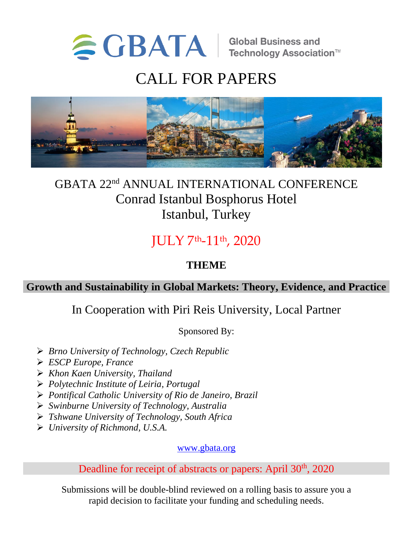

# CALL FOR PAPERS



# GBATA 22<sup>nd</sup> ANNUAL INTERNATIONAL CONFERENCE Conrad Istanbul Bosphorus Hotel Istanbul, Turkey

JULY 7 th-11th, 2020

# **THEME**

**Growth and Sustainability in Global Markets: Theory, Evidence, and Practice**

# In Cooperation with Piri Reis University, Local Partner

Sponsored By:

- ➢ *Brno University of Technology, Czech Republic*
- ➢ *ESCP Europe, France*
- ➢ *Khon Kaen University, Thailand*
- ➢ *Polytechnic Institute of Leiria, Portugal*
- ➢ *Pontifical Catholic University of Rio de Janeiro, Brazil*
- ➢ *Swinburne University of Technology, Australia*
- ➢ *Tshwane University of Technology, South Africa*
- ➢ *University of Richmond, U.S.A.*

[www.gbata.org](http://www.gbata.org/)

Deadline for receipt of abstracts or papers: April 30<sup>th</sup>, 2020

Submissions will be double-blind reviewed on a rolling basis to assure you a rapid decision to facilitate your funding and scheduling needs.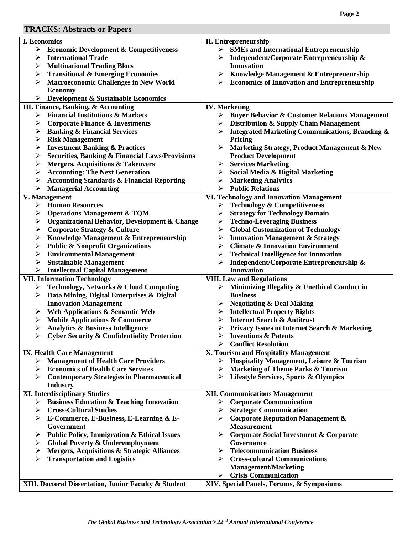## **TRACKS: Abstracts or Papers**

| TIVAUIN). AVSU aUS VI-L'APUS                                     |                                                                |
|------------------------------------------------------------------|----------------------------------------------------------------|
| I. Economics                                                     | <b>II. Entrepreneurship</b>                                    |
| ➤<br><b>Economic Development &amp; Competitiveness</b>           | <b>SMEs and International Entrepreneurship</b><br>➤            |
| <b>International Trade</b><br>➤                                  | Independent/Corporate Entrepreneurship &<br>≻                  |
| <b>Multinational Trading Blocs</b><br>➤                          | <b>Innovation</b>                                              |
| <b>Transitional &amp; Emerging Economies</b><br>➤                | <b>Knowledge Management &amp; Entrepreneurship</b><br>≻        |
|                                                                  |                                                                |
| <b>Macroeconomic Challenges in New World</b><br>➤                | <b>Economics of Innovation and Entrepreneurship</b><br>⋗       |
| <b>Economy</b>                                                   |                                                                |
| <b>Development &amp; Sustainable Economics</b><br>➤              |                                                                |
| III. Finance, Banking, & Accounting                              | <b>IV. Marketing</b>                                           |
| <b>Financial Institutions &amp; Markets</b><br>≻                 | <b>Buyer Behavior &amp; Customer Relations Management</b><br>≻ |
| <b>Corporate Finance &amp; Investments</b><br>➤                  | Distribution & Supply Chain Management<br>➤                    |
| <b>Banking &amp; Financial Services</b><br>$\blacktriangleright$ | <b>Integrated Marketing Communications, Branding &amp;</b>     |
| <b>Risk Management</b><br>≻                                      | Pricing                                                        |
| <b>Investment Banking &amp; Practices</b><br>➤                   | Marketing Strategy, Product Management & New                   |
| <b>Securities, Banking &amp; Financial Laws/Provisions</b><br>➤  | <b>Product Development</b>                                     |
| <b>Mergers, Acquisitions &amp; Takeovers</b><br>➤                | <b>Services Marketing</b><br>➤                                 |
|                                                                  |                                                                |
| <b>Accounting: The Next Generation</b><br>➤                      | Social Media & Digital Marketing<br>➤                          |
| <b>Accounting Standards &amp; Financial Reporting</b><br>≻       | <b>Marketing Analytics</b><br>➤                                |
| <b>Managerial Accounting</b><br>≻                                | <b>Public Relations</b><br>➤                                   |
| V. Management                                                    | VI. Technology and Innovation Management                       |
| <b>Human Resources</b><br>≻                                      | <b>Technology &amp; Competitiveness</b><br>➤                   |
| <b>Operations Management &amp; TQM</b><br>≻                      | <b>Strategy for Technology Domain</b><br>➤                     |
| <b>Organizational Behavior, Development &amp; Change</b><br>➤    | <b>Techno-Leveraging Business</b><br>⋗                         |
| <b>Corporate Strategy &amp; Culture</b><br>≻                     | <b>Global Customization of Technology</b><br>➤                 |
| Knowledge Management & Entrepreneurship<br>≻                     | <b>Innovation Management &amp; Strategy</b><br>➤               |
| <b>Public &amp; Nonprofit Organizations</b><br>⋗                 | <b>Climate &amp; Innovation Environment</b><br>➤               |
| <b>Environmental Management</b><br>⋗                             | <b>Technical Intelligence for Innovation</b><br>➤              |
|                                                                  |                                                                |
| <b>Sustainable Management</b><br>➤                               | Independent/Corporate Entrepreneurship &<br>➤                  |
| <b>Intellectual Capital Management</b><br>➤                      | <b>Innovation</b>                                              |
| <b>VII. Information Technology</b>                               | <b>VIII. Law and Regulations</b>                               |
| <b>Technology, Networks &amp; Cloud Computing</b><br>➤           | Minimizing Illegality & Unethical Conduct in<br>➤              |
| Data Mining, Digital Enterprises & Digital<br>➤                  | <b>Business</b>                                                |
| <b>Innovation Management</b>                                     | <b>Negotiating &amp; Deal Making</b><br>⋗                      |
| Web Applications & Semantic Web<br>≻                             | <b>Intellectual Property Rights</b><br>➤                       |
| <b>Mobile Applications &amp; Commerce</b><br>➤                   | <b>Internet Search &amp; Antitrust</b><br>⋗                    |
| <b>Analytics &amp; Business Intelligence</b><br>≻                | ➤<br><b>Privacy Issues in Internet Search &amp; Marketing</b>  |
| <b>Cyber Security &amp; Confidentiality Protection</b>           | <b>Inventions &amp; Patents</b>                                |
|                                                                  | <b>Conflict Resolution</b><br>⋗                                |
|                                                                  | X. Tourism and Hospitality Management                          |
| <b>IX. Health Care Management</b>                                |                                                                |
| $\triangleright$ Management of Health Care Providers             | Hospitality Management, Leisure & Tourism<br>➤                 |
| <b>Economics of Health Care Services</b><br>≻                    | <b>Marketing of Theme Parks &amp; Tourism</b><br>≻             |
| <b>Contemporary Strategies in Pharmaceutical</b><br>➤            | <b>Lifestyle Services, Sports &amp; Olympics</b><br>➤          |
| <b>Industry</b>                                                  |                                                                |
| <b>XI. Interdisciplinary Studies</b>                             | <b>XII. Communications Management</b>                          |
| $\triangleright$ Business Education & Teaching Innovation        | <b>Corporate Communication</b><br>➤                            |
| <b>Cross-Cultural Studies</b><br>➤                               | <b>Strategic Communication</b><br>≻                            |
| E-Commerce, E-Business, E-Learning & E-<br>➤                     | <b>Corporate Reputation Management &amp;</b><br>⋗              |
| Government                                                       | <b>Measurement</b>                                             |
| <b>Public Policy, Immigration &amp; Ethical Issues</b><br>⋗      | <b>Corporate Social Investment &amp; Corporate</b><br>≻        |
| <b>Global Poverty &amp; Underemployment</b><br>➤                 | Governance                                                     |
|                                                                  |                                                                |
| <b>Mergers, Acquisitions &amp; Strategic Alliances</b><br>➤      | <b>Telecommunication Business</b><br>⋗                         |
| <b>Transportation and Logistics</b><br>➤                         | <b>Cross-cultural Communications</b><br>⋗                      |
|                                                                  | <b>Management/Marketing</b>                                    |
|                                                                  | <b>Crisis Communication</b><br>➤                               |
| XIII. Doctoral Dissertation, Junior Faculty & Student            | XIV. Special Panels, Forums, & Symposiums                      |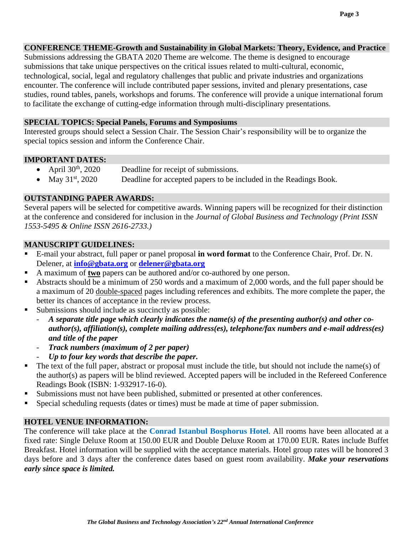Submissions addressing the GBATA 2020 Theme are welcome. The theme is designed to encourage submissions that take unique perspectives on the critical issues related to multi-cultural, economic, technological, social, legal and regulatory challenges that public and private industries and organizations encounter. The conference will include contributed paper sessions, invited and plenary presentations, case studies, round tables, panels, workshops and forums. The conference will provide a unique international forum to facilitate the exchange of cutting-edge information through multi-disciplinary presentations.

### **SPECIAL TOPICS: Special Panels, Forums and Symposiums**

Interested groups should select a Session Chair. The Session Chair's responsibility will be to organize the special topics session and inform the Conference Chair.

### **IMPORTANT DATES:**

- April  $30<sup>th</sup>$ ,  $2020$  Deadline for receipt of submissions.
- May  $31<sup>st</sup>$ , 2020 Deadline for accepted papers to be included in the Readings Book.

### **OUTSTANDING PAPER AWARDS:**

Several papers will be selected for competitive awards. Winning papers will be recognized for their distinction at the conference and considered for inclusion in the *Journal of Global Business and Technology (Print ISSN 1553-5495 & Online ISSN 2616-2733.)*

### **MANUSCRIPT GUIDELINES:**

- E-mail your abstract, full paper or panel proposal **in word format** to the Conference Chair, Prof. Dr. N. Delener, at **[info@gbata.org](mailto:info@gbata.org)** or **[delener@gbata.org](mailto:delener@gbata.org)**
- A maximum of **two** papers can be authored and/or co-authored by one person.
- Abstracts should be a minimum of 250 words and a maximum of 2,000 words, and the full paper should be a maximum of 20 double-spaced pages including references and exhibits. The more complete the paper, the better its chances of acceptance in the review process.
- Submissions should include as succinctly as possible:
	- *A separate title page which clearly indicates the name(s) of the presenting author(s) and other coauthor(s), affiliation(s), complete mailing address(es), telephone/fax numbers and e-mail address(es) and title of the paper*
	- *Track numbers (maximum of 2 per paper)*
	- *Up to four key words that describe the paper.*
- The text of the full paper, abstract or proposal must include the title, but should not include the name(s) of the author(s) as papers will be blind reviewed. Accepted papers will be included in the Refereed Conference Readings Book (ISBN: 1-932917-16-0).
- Submissions must not have been published, submitted or presented at other conferences.
- Special scheduling requests (dates or times) must be made at time of paper submission.

### **HOTEL VENUE INFORMATION:**

The conference will take place at the **Conrad Istanbul Bosphorus Hotel**. All rooms have been allocated at a fixed rate: Single Deluxe Room at 150.00 EUR and Double Deluxe Room at 170.00 EUR. Rates include Buffet Breakfast. Hotel information will be supplied with the acceptance materials. Hotel group rates will be honored 3 days before and 3 days after the conference dates based on guest room availability. *Make your reservations early since space is limited.*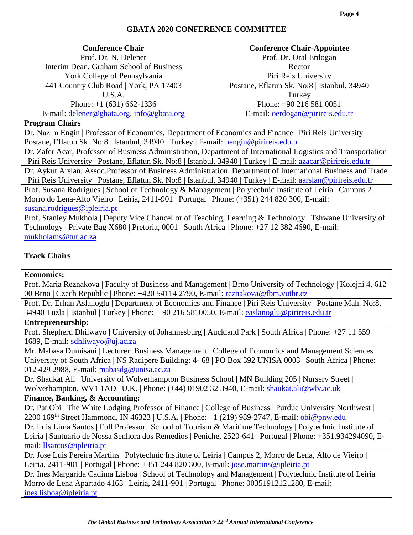### **GBATA 2020 CONFERENCE COMMITTEE**

### **Conference Chair**

Prof. Dr. N. Delener Interim Dean, Graham School of Business York College of Pennsylvania 441 Country Club Road | York, PA 17403 U.S.A. Phone: +1 (631) 662-1336

E-mail: [delener@gbata.org,](mailto:delener@gbata.org) [info@gbata.org](mailto:info@gbata.org)

### **Conference Chair-Appointee** Prof. Dr. Oral Erdogan Rector Piri Reis University Postane, Eflatun Sk. No:8 | Istanbul, 34940 **Turkey** Phone: +90 216 581 0051 E-mail: [oerdogan@pirireis.edu.tr](mailto:oerdogan@pirireis.edu.tr)

### **Program Chairs**

Dr. Nazım Engin | Professor of Economics, Department of Economics and Finance | Piri Reis University | Postane, Eflatun Sk. No:8 | Istanbul, 34940 | Turkey | E-mail: [nengin@pirireis.edu.tr](mailto:nengin@pirireis.edu.tr)

Dr. Zafer Acar, Professor of Business Administration, Department of International Logistics and Transportation | Piri Reis University | Postane, Eflatun Sk. No:8 | Istanbul, 34940 | Turkey | E-mail: [azacar@pirireis.edu.tr](mailto:azacar@pirireis.edu.tr) Dr. Aykut Arslan, Assoc.Professor of Business Administration. Department of International Business and Trade | Piri Reis University | Postane, Eflatun Sk. No:8 | Istanbul, 34940 | Turkey | E-mail: [aarslan@pirireis.edu.tr](mailto:aarslan@pirireis.edu.tr) Prof. Susana Rodrigues | School of Technology & Management | Polytechnic Institute of Leiria | Campus 2 Morro do Lena-Alto Vieiro | Leiria, 2411-901 | Portugal | Phone: (+351) 244 820 300, E-mail: [susana.rodrigues@ipleiria.pt](mailto:susana.rodrigues@ipleiria.pt)

Prof. Stanley Mukhola | Deputy Vice Chancellor of Teaching, Learning & Technology | Tshwane University of Technology | Private Bag X680 | Pretoria, 0001 | South Africa | Phone: +27 12 382 4690, E-mail: [mukholams@tut.ac.za](mailto:mukholams@tut.ac.za)

### **Track Chairs**

### **Economics:**

Prof. Maria Reznakova | Faculty of Business and Management | Brno University of Technology | Kolejni 4, 612 00 Brno | Czech Republic | Phone: +420 54114 2790, E-mail: [reznakova@fbm.vutbr.cz](mailto:reznakova@fbm.vutbr.cz)

Prof. Dr. Erhan Aslanoglu | Department of Economics and Finance | Piri Reis University | Postane Mah. No:8, 34940 Tuzla | Istanbul | Turkey | Phone: + 90 216 5810050, E-mail: [easlanoglu@pirireis.edu.tr](mailto:easlanoglu@pirireis.edu.tr)

### **Entrepreneurship:**

Prof. Shepherd Dhilwayo | University of Johannesburg | Auckland Park | South Africa | Phone: +27 11 559 1689, E-mail: [sdhliwayo@uj.ac.za](mailto:sdhliwayo@uj.ac.za)

Mr. Mabasa Dumisani | Lecturer: Business Management | College of Economics and Management Sciences | University of South Africa | NS Radipere Building: 4- 68 | PO Box 392 UNISA 0003 | South Africa | Phone: 012 429 2988, E-mail: [mabasdg@unisa.ac.za](mailto:mabasdg@unisa.ac.za)

Dr. Shaukat Ali | University of Wolverhampton Business School | MN Building 205 | Nursery Street | Wolverhampton, WV1 1AD | U.K. | Phone: (+44) 01902 32 3940, E-mail: [shaukat.ali@wlv.ac.uk](mailto:shaukat.ali@wlv.ac.uk)

### **Finance, Banking, & Accounting:**

Dr. Pat Obi | The White Lodging Professor of Finance | College of Business | Purdue University Northwest | 2200 169<sup>th</sup> Street Hammond, IN 46323 | U.S.A. | Phone: +1 (219) 989-2747, E-mail: **obi@pnw.edu** 

Dr. Luis Lima Santos | Full Professor | School of Tourism & Maritime Technology | Polytechnic Institute of Leiria | Santuario de Nossa Senhora dos Remedios | Peniche, 2520-641 | Portugal | Phone: [+351.934294090,](tel:+351%20934%20294%20090) Email: [llsantos@ipleiria.pt](mailto:llsantos@ipleiria.pt)

Dr. Jose Luis Pereira Martins | Polytechnic Institute of Leiria | Campus 2, Morro de Lena, Alto de Vieiro | Leiria, 2411-901 | Portugal | Phone: +351 244 820 300, E-mail: [jose.martins@ipleiria.pt](mailto:jose.martins@ipleiria.pt)

Dr. Ines Margarida Cadima Lisboa | School of Technology and Management | Polytechnic Institute of Leiria | Morro de Lena Apartado 4163 | Leiria, 2411-901 | Portugal | Phone: 00351912121280, E-mail: [ines.lisboa@ipleiria.pt](mailto:ines.lisboa@ipleiria.pt)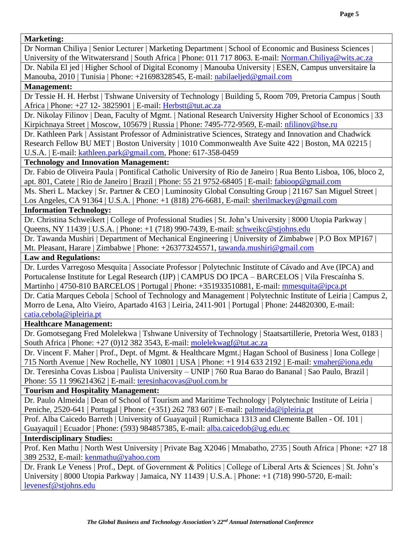### **Marketing:**

Dr Norman Chiliya | Senior Lecturer | Marketing Department | School of Economic and Business Sciences | University of the Witwatersrand | South Africa | Phone: 011 717 8063. E-mail: [Norman.Chiliya@wits.ac.za](mailto:Norman.Chiliya@wits.ac.za)

Dr. Nabila El jed | Higher School of Digital Economy | Manouba University | ESEN, Campus unversitaire la Manouba, 2010 | Tunisia | Phone: +21698328545, E-mail: [nabilaeljed@gmail.com](mailto:nabilaeljed@gmail.com)

### **Management:**

Dr Tessie H. H. Herbst | Tshwane University of Technology | Building 5, Room 709, Pretoria Campus | South Africa | Phone: +27 12- 3825901 | E-mail: [Herbstt@tut.ac.za](mailto:Herbstt@tut.ac.za)

Dr. Nikolay Filinov | Dean, Faculty of Mgmt. | National Research University Higher School of Economics | 33 Kirpichnaya Street | Moscow, 105679 | Russia | Phone: 7495-772-9569, E-mail: [nfilinov@hse.ru](mailto:nfilinov@hse.ru)

Dr. Kathleen Park | Assistant Professor of Administrative Sciences, Strategy and Innovation and Chadwick Research Fellow BU MET | Boston University | 1010 Commonwealth Ave Suite 422 | Boston, MA 02215 | U.S.A. | E-mail: [kathleen.park@gmail.com,](mailto:kathleen.park@gmail.com) Phone: 617-358-0459

### **Technology and Innovation Management:**

Dr. Fabio de Oliveira Paula | Pontifical Catholic University of Rio de Janeiro | [Rua Bento Lisboa, 106,](https://maps.google.com/?q=Rua+Bento+Lisboa,+106&entry=gmail&source=g) bloco 2, apt. 801, Catete | Rio de Janeiro | Brazil | Phone: 55 21 9752-68405 | E-mail: fabioop@gmail.com

Ms. Sheri L. Mackey | Sr. Partner & CEO | Luminosity Global Consulting Group | 21167 San Miguel Street | Los Angeles, CA 91364 | U.S.A. | Phone: +1 (818) 276-6681, E-mail: [sherilmackey@gmail.com](mailto:sherilmackey@gmail.com)

### **Information Technology:**

Dr. Christina Schweikert | College of Professional Studies | St. John's University | 8000 Utopia Parkway | Queens, NY 11439 | U.S.A. | Phone: +1 (718) 990-7439, E-mail: [schweikc@stjohns.edu](mailto:schweikc@stjohns.edu)

Dr. Tawanda Mushiri | Department of Mechanical Engineering | University of Zimbabwe | P.O Box MP167 | Mt. Pleasant, Harare | Zimbabwe | Phone: [+263773245571,](tel:+263%2077%20324%205571) [tawanda.mushiri@gmail.com](mailto:tawanda.mushiri@gmail.com)

### **Law and Regulations:**

Dr. Lurdes Varregoso Mesquita | Associate Professor | Polytechnic Institute of Cávado and Ave (IPCA) and Portucalense Institute for Legal Research (IJP) | CAMPUS DO IPCA – BARCELOS | Vila Frescaínha S. Martinho | 4750-810 BARCELOS | Portugal | Phone: +351933510881, E-mail: [mmesquita@ipca.pt](mailto:mmesquita@ipca.pt)

Dr. Catia Marques Cebola | School of Technology and Management | Polytechnic Institute of Leiria | Campus 2, Morro de Lena, Alto Vieiro, Apartado 4163 | Leiria, 2411-901 | Portugal | Phone: 244820300, E-mail: [catia.cebola@ipleiria.pt](mailto:catia.cebola@ipleiria.pt)

### **Healthcare Management:**

Dr. Gomotsegang Fred Molelekwa | Tshwane University of Technology | Staatsartillerie, Pretoria West, 0183 | South Africa | Phone: +27 (0)12 382 3543, E-mail: [molelekwagf@tut.ac.za](mailto:molelekwagf@tut.ac.za)

Dr. Vincent F. Maher | Prof., Dept. of Mgmt. & Healthcare Mgmt.| Hagan School of Business | Iona College | 715 North Avenue | New Rochelle, NY 10801 | USA | Phone: +1 914 633 2192 | E-mail: [vmaher@iona.edu](mailto:vmaher@iona.edu)

Dr. Teresinha Covas Lisboa | Paulista University – UNIP | 760 Rua Barao do Bananal | Sao Paulo, Brazil | Phone: 55 11 996214362 | E-mail: [teresinhacovas@uol.com.br](mailto:teresinhacovas@uol.com.br)

### **Tourism and Hospitality Management:**

Dr. Paulo Almeida | Dean of School of Tourism and Maritime Technology | Polytechnic Institute of Leiria | Peniche, 2520-641 | Portugal | Phone: (+351) 262 783 607 | E-mail: [palmeida@ipleiria.pt](mailto:palmeida@ipleiria.pt)

Prof. Alba Caicedo Barreth | University of Guayaquil | Rumichaca 1313 and Clemente Ballen - Of. 101 | Guayaquil | Ecuador | Phone: (593) 984857385, E-mail: [alba.caicedob@ug.edu.ec](mailto:alba.caicedob@ug.edu.ec)

### **Interdisciplinary Studies:**

Prof. Ken Mathu | North West University | Private Bag X2046 | Mmabatho, 2735 | South Africa | Phone: +27 18 389 2532, E-mail: [kenmathu@yahoo.com](mailto:kenmathu@yahoo.com)

Dr. Frank Le Veness | Prof., Dept. of Government & Politics | College of Liberal Arts & Sciences | St. John's University | 8000 Utopia Parkway | Jamaica, NY 11439 | U.S.A. | Phone: +1 (718) 990-5720, E-mail: [levenesf@stjohns.edu](mailto:levenesf@stjohns.edu)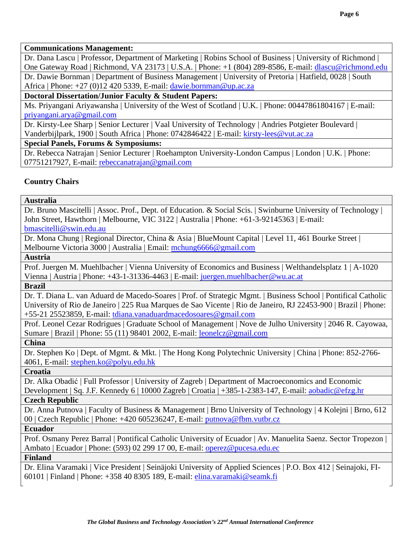### **Communications Management:**

Dr. Dana Lascu | Professor, Department of Marketing | Robins School of Business | University of Richmond | One Gateway Road | Richmond, VA 23173 | U.S.A. | Phone: +1 (804) 289-8586, E-mail: [dlascu@richmond.edu](mailto:dlascu@richmond.edu) Dr. Dawie Bornman | Department of Business Management | University of Pretoria | Hatfield, 0028 | South Africa | Phone: +27 (0)12 420 5339, E-mail: [dawie.bornman@up.ac.za](mailto:dawie.bornman@up.ac.za)

## **Doctoral Dissertation/Junior Faculty & Student Papers:**

Ms. Priyangani Ariyawansha | University of the West of Scotland | U.K. | Phone: 00447861804167 | E-mail: [priyangani.arya@gmail.com](mailto:priyangani.arya@gmail.com)

Dr. Kirsty-Lee Sharp | Senior Lecturer | Vaal University of Technology | Andries Potgieter Boulevard | Vanderbijlpark, 1900 | South Africa | Phone: 0742846422 | E-mail: [kirsty-lees@vut.ac.za](mailto:kirsty-lees@vut.ac.za)

### **Special Panels, Forums & Symposiums:**

Dr. Rebecca Natrajan | Senior Lecturer | Roehampton University-London Campus | London | U.K. | Phone: 07751217927, E-mail: [rebeccanatrajan@gmail.com](mailto:rebeccanatrajan@gmail.com)

## **Country Chairs**

### **Australia**

Dr. Bruno Mascitelli | Assoc. Prof., Dept. of Education. & Social Scis. | Swinburne University of Technology | John Street, Hawthorn | Melbourne, VIC 3122 | Australia | Phone: +61-3-92145363 | E-mail: [bmascitelli@swin.edu.au](mailto:bmascitelli@swin.edu.au)

Dr. Mona Chung | Regional Director, China & Asia | BlueMount Capital | Level 11, 461 Bourke Street | Melbourne Victoria 3000 | Australia | Email: [mchung6666@gmail.com](mailto:mchung6666@gmail.com)

**Austria**

Prof. Juergen M. Muehlbacher | Vienna University of Economics and Business | Welthandelsplatz 1 | A-1020 Vienna | Austria | Phone: +43-1-31336-4463 | E-mail: [juergen.muehlbacher@wu.ac.at](mailto:juergen.muehlbacher@wu.ac.at)

**Brazil**

Dr. T. Diana L. van Aduard de Macedo-Soares | Prof. of Strategic Mgmt. | Business School | Pontifical Catholic University of Rio de Janeiro | 225 Rua Marques de Sao Vicente | Rio de Janeiro, RJ 22453-900 | Brazil | Phone: +55-21 25523859, E-mail: [tdiana.vanaduardmacedosoares@gmail.com](mailto:tdiana.vanaduardmacedosoares@gmail.com)

Prof. Leonel Cezar Rodrigues | Graduate School of Management | Nove de Julho University | 2046 R. Cayowaa, Sumare | Brazil | Phone: 55 (11) 98401 2002, E-mail: [leonelcz@gmail.com](mailto:leonelcz@gmail.com)

### **China**

Dr. Stephen Ko | Dept. of Mgmt. & Mkt. | The Hong Kong Polytechnic University | China | Phone: 852-2766- 4061, E-mail: [stephen.ko@polyu.edu.hk](mailto:stephen.ko@polyu.edu.hk)

**Croatia**

Dr. Alka Obadić | Full Professor | University of Zagreb | Department of Macroeconomics and Economic Development | Sq. J.F. Kennedy 6 | 10000 Zagreb | Croatia | +385-1-2383-147, E-mail: [aobadic@efzg.hr](mailto:aobadic@efzg.hr) **Czech Republic**

Dr. Anna Putnova | Faculty of Business & Management | Brno University of Technology | 4 Kolejni | Brno, 612 00 | Czech Republic | Phone: +420 605236247, E-mail: [putnova@fbm.vutbr.cz](mailto:putnova@fbm.vutbr.cz)

### **Ecuador**

Prof. Osmany Perez Barral | Pontifical Catholic University of Ecuador | Av. Manuelita Saenz. Sector Tropezon | Ambato | Ecuador | Phone: (593) 02 299 17 00, E-mail: [operez@pucesa.edu.ec](mailto:operez@pucesa.edu.ec) **Finland**

Dr. Elina Varamaki | Vice President | Seinäjoki University of Applied Sciences | P.O. Box 412 | Seinajoki, FI-60101 | Finland | Phone: +358 40 8305 189, E-mail: [elina.varamaki@seamk.fi](mailto:elina.varamaki@seamk.fi)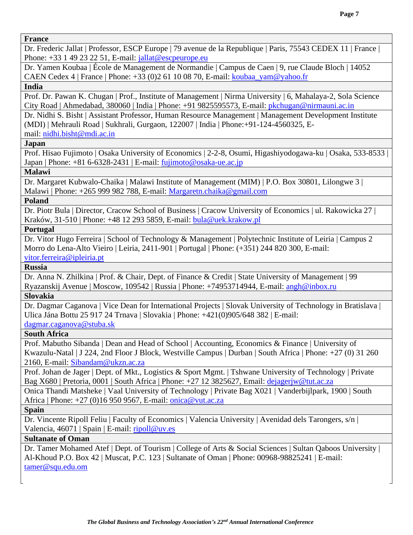### **France**

Dr. Frederic Jallat | Professor, ESCP Europe | 79 avenue de la Republique | Paris, 75543 CEDEX 11 | France | Phone:  $+33$  1 49 23 22 51, E-mail: [jallat@escpeurope.eu](mailto:jallat@escpeurope.eu)

Dr. Yamen Koubaa | École de Management de Normandie | Campus de Caen | 9, rue Claude Bloch | 14052 CAEN Cedex 4 | France | Phone: +33 (0)2 61 10 08 70, E-mail: [koubaa\\_yam@yahoo.fr](mailto:koubaa_yam@yahoo.fr)

### **India**

Prof. Dr. Pawan K. Chugan | Prof., Institute of Management | Nirma University | 6, Mahalaya[-2, Sola Science](https://maps.google.com/?q=2,+Sola+Science+City&entry=gmail&source=g)  [City](https://maps.google.com/?q=2,+Sola+Science+City&entry=gmail&source=g) Road | Ahmedabad, 380060 | India | Phone: +91 [9825595573,](tel:+91%2098255%2095573) E-mail: [pkchugan@nirmauni.ac.in](mailto:pkchugan@nirmauni.ac.in)

Dr. Nidhi S. Bisht | Assistant Professor, Human Resource Management | Management Development Institute (MDI) | Mehrauli Road | Sukhrali, Gurgaon, 122007 | India | Phone:+91-124-4560325, Email: [nidhi.bisht@mdi.ac.in](mailto:nidhi.bisht@mdi.ac.in)

### **Japan**

Prof. Hisao Fujimoto | Osaka University of Economics | 2-2-8, Osumi, Higashiyodogawa-ku | Osaka, 533-8533 | Japan | Phone:  $+81$  6-6328-2431 | E-mail: [fujimoto@osaka-ue.ac.jp](mailto:fujimoto@osaka-ue.ac.jp)

### **Malawi**

Dr. Margaret Kubwalo-Chaika | Malawi Institute of Management (MIM) | P.O. Box 30801, Lilongwe 3 | Malawi | Phone: +265 999 982 788, E-mail: [Margaretn.chaika@gmail.com](mailto:Margaretn.chaika@gmail.com)

### **Poland**

Dr. Piotr Bula | Director, Cracow School of Business | Cracow University of Economics | ul. Rakowicka 27 | Kraków, 31-510 | Phone: +48 12 293 5859, E-mail: [bula@uek.krakow.pl](mailto:bula@uek.krakow.pl)

### **Portugal**

Dr. Vitor Hugo Ferreira | School of Technology & Management | Polytechnic Institute of Leiria | Campus 2 Morro do Lena-Alto Vieiro | Leiria, 2411-901 | Portugal | Phone: (+351) 244 820 300, E-mail: [vitor.ferreira@ipleiria.pt](mailto:vitor.ferreira@ipleiria.pt)

**Russia**

Dr. Anna N. Zhilkina | Prof. & Chair, Dept. of Finance & Credit | State University of Management | 99 Ryazanskij Avenue | Moscow, 109542 | Russia | Phone: +74953714944, E-mail: [angh@inbox.ru](mailto:angh@inbox.ru)

### **Slovakia**

Dr. Dagmar Caganova | Vice Dean for International Projects | Slovak University of Technology in Bratislava | Ulica Jána Bottu 25 917 24 Trnava | Slovakia | Phone: +421(0)905/648 382 | E-mail: [dagmar.caganova@stuba.sk](mailto:dagmar.caganova@stuba.sk)

### **South Africa**

Prof. Mabutho Sibanda | Dean and Head of School | Accounting, Economics & Finance | University of Kwazulu-Natal | J 224, 2nd Floor J Block, Westville Campus | Durban | South Africa | Phone: +27 (0) 31 260 2160, E-mail: [Sibandam@ukzn.ac.za](mailto:Sibandam@ukzn.ac.za)

Prof. Johan de Jager | Dept. of Mkt., Logistics & Sport Mgmt. | Tshwane University of Technology | Private Bag X680 | Pretoria, 0001 | South Africa | Phone: +27 12 3825627, Email: [dejagerjw@tut.ac.za](mailto:dejagerjw@tut.ac.za)

Onica Thandi Matsheke | Vaal University of Technology | Private Bag X021 | Vanderbijlpark, 1900 | South Africa | Phone: +27 (0)16 950 9567, E-mail: [onica@vut.ac.za](mailto:onica@vut.ac.za)

### **Spain**

Dr. Vincente Ripoll Feliu | Faculty of Economics | Valencia University | Avenidad dels Tarongers, s/n | Valencia, 46071 | Spain | E-mail: [ripoll@uv.es](mailto:ripoll@uv.es)

### **Sultanate of Oman**

Dr. Tamer Mohamed Atef | Dept. of Tourism | College of Arts & Social Sciences | Sultan Qaboos University | Al-Khoud P.O. Box 42 | Muscat, P.C. 123 | Sultanate of Oman | Phone: 00968-98825241 | E-mail: [tamer@squ.edu.om](mailto:tamer@squ.edu.om)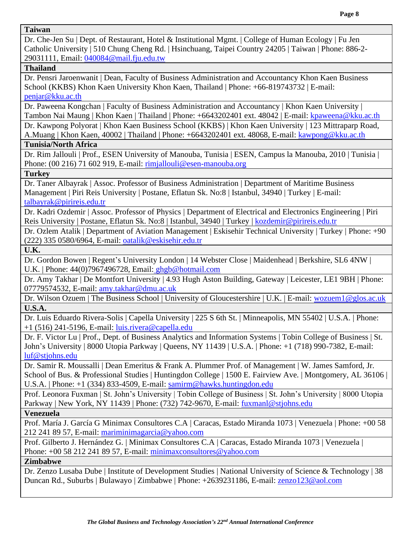### **Taiwan**

Dr. Che-Jen Su | Dept. of Restaurant, Hotel & Institutional Mgmt. | College of Human Ecology | Fu Jen Catholic University | 510 Chung Cheng Rd. | Hsinchuang, Taipei Country 24205 | Taiwan | Phone: 886-2- 29031111, Email: [040084@mail.fju.edu.tw](mailto:040084@mail.fju.edu.tw)

### **Thailand**

Dr. Pensri Jaroenwanit | Dean, Faculty of Business Administration and Accountancy Khon Kaen Business School (KKBS) Khon Kaen University Khon Kaen, Thailand | Phone: +66-819743732 | E-mail: [penjar@kku.ac.th](mailto:penjar@kku.ac.th)

Dr. Paweena Kongchan | Faculty of Business Administration and Accountancy | Khon Kaen University | Tambon Nai Maung | Khon Kaen | Thailand | Phone: +6643202401 ext. 48042 | E-mail: [kpaweena@kku.ac.th](mailto:kpaweena@kku.ac.th) 

Dr. Kawpong Polyorat | Khon Kaen Business School (KKBS) | Khon Kaen University | 123 Mittraparp Road, A.Muang | Khon Kaen, 40002 | Thailand | Phone: +6643202401 ext. 48068, E-mail: [kawpong@kku.ac.th](mailto:kawpong@kku.ac.th)

### **Tunisia/North Africa**

Dr. Rim Jallouli | Prof., ESEN University of Manouba, Tunisia | ESEN, Campus la Manouba, 2010 | Tunisia | Phone: (00 216) 71 602 919, E-mail: [rimjallouli@esen-manouba.org](mailto:rimjallouli@esen-manouba.org)

### **Turkey**

Dr. Taner Albayrak | Assoc. Professor of Business Administration | Department of Maritime Business Management | Piri Reis University | Postane, Eflatun Sk. No:8 | Istanbul, 34940 | Turkey | E-mail: [talbayrak@pirireis.edu.tr](mailto:talbayrak@pirireis.edu.tr)

Dr. Kadri Ozdemir | Assoc. Professor of Physics | Department of Electrical and Electronics Engineering | Piri Reis University | Postane, Eflatun Sk. No:8 | Istanbul, 34940 | Turkey | [kozdemir@pirireis.edu.tr](mailto:kozdemir@pirireis.edu.tr)

Dr. Ozlem Atalik | Department of Aviation Management | Eskisehir Technical University | Turkey | Phone: +90 (222) 335 0580/6964, E-mail: [oatalik@eskisehir.edu.tr](mailto:oatalik@eskisehir.edu.tr)

**U.K.**

Dr. Gordon Bowen | Regent's University London | 14 Webster Close | Maidenhead | Berkshire, SL6 4NW | U.K. | Phone: 44(0)7967496728, Email: ghgb@hotmail.com

Dr. Amy Takhar | De Montfort University | 4.93 Hugh Aston Building, Gateway | Leicester, LE1 9BH | Phone: 07779574532, E-mail: [amy.takhar@dmu.ac.uk](mailto:amy.takhar@dmu.ac.uk)

Dr. Wilson Ozuem | The Business School | University of Gloucestershire | U.K. | E-mail: [wozuem1@glos.ac.uk](mailto:wozuem1@glos.ac.uk) **U.S.A.**

Dr. Luis Eduardo Rivera-Solis | Capella University | 225 S 6th St. | Minneapolis, MN 55402 | U.S.A. | Phone: +1 (516) 241-5196, E-mail: [luis.rivera@capella.edu](mailto:luis.rivera@capella.edu)

Dr. F. Victor Lu | Prof., Dept. of Business Analytics and Information Systems | Tobin College of Business | St. John's University | 8000 Utopia Parkway | Queens, NY 11439 | U.S.A. | Phone: +1 (718) 990-7382, E-mail: [luf@stjohns.edu](mailto:luf@stjohns.edu)

Dr. Samir R. Moussalli | Dean Emeritus & Frank A. Plummer Prof. of Management | W. James Samford, Jr. School of Bus. & Professional Studies | Huntingdon College | 1500 E. Fairview Ave. | Montgomery, AL 36106 | U.S.A. | Phone: +1 (334) 833-4509, E-mail: [samirm@hawks.huntingdon.edu](mailto:samirm@hawks.huntingdon.edu)

Prof. Leonora Fuxman | St. John's University | Tobin College of Business | St. John's University | 8000 Utopia Parkway | New York, NY 11439 | Phone: (732) 742-9670, E-mail: [fuxmanl@stjohns.edu](mailto:fuxmanl@stjohns.edu)

**Venezuela**

Prof. María J. García G Minimax Consultores C.A | Caracas, Estado Miranda 1073 | Venezuela | Phone: +00 58 212 241 89 57, E-mail: [mariminimagarcia@yahoo.com](mailto:mariminimagarcia@yahoo.com)

Prof. Gilberto J. Hernández G. | Minimax Consultores C.A | Caracas, Estado Miranda 1073 | Venezuela | Phone: +00 58 212 241 89 57, E-mail: [minimaxconsultores@yahoo.com](mailto:minimaxconsultores@yahoo.com)

### **Zimbabwe**

Dr. Zenzo Lusaba Dube | Institute of Development Studies | National University of Science & Technology | 38 Duncan Rd., Suburbs | Bulawayo | Zimbabwe | Phone: +2639231186, E-mail: [zenzo123@aol.com](mailto:zenzo123@aol.com)